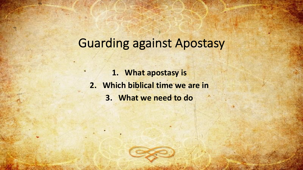# Guarding against Apostasy

**1. What apostasy is 2. Which biblical time we are in 3. What we need to do**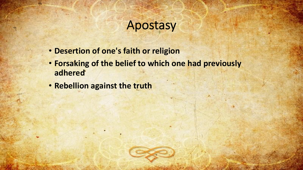# Apostasy

- **Desertion of one's faith or religion**
- **Forsaking of the belief to which one had previously adhered**
- **Rebellion against the truth**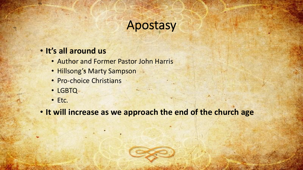# Apostasy

#### • **It's all around us**

- Author and Former Pastor John Harris
- Hillsong's Marty Sampson
- Pro-choice Christians
- LGBTQ
- Etc.

• **It will increase as we approach the end of the church age**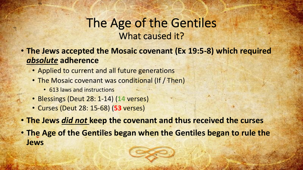#### The Age of the Gentiles What caused it?

- **The Jews accepted the Mosaic covenant (Ex 19:5-8) which required**  *absolute* **adherence**
	- Applied to current and all future generations
	- The Mosaic covenant was conditional (If / Then)
		- 613 laws and instructions
	- Blessings (Deut 28: 1-14) (**14** verses)
	- Curses (Deut 28: 15-68) (**53** verses)
- **The Jews** *did not* **keep the covenant and thus received the curses**
- **The Age of the Gentiles began when the Gentiles began to rule the Jews**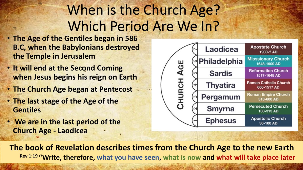# When is the Church Age? Which Period Are We In?

- **The Age of the Gentiles began in 586 B.C, when the Babylonians destroyed the Temple in Jerusalem**
- **It will end at the Second Coming when Jesus begins his reign on Earth**
- **The Church Age began at Pentecost**
- **The last stage of the Age of the Gentiles**
- **We are in the last period of the Church Age - Laodicea**



**The book of Revelation describes times from the Church Age to the new Earth Rev 1:19 "Write, therefore, what you have seen, what is now and what will take place later**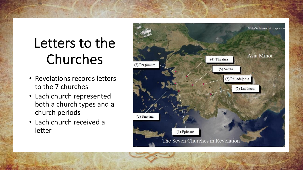# Letters to the Churches

- Revelations records letters to the 7 churches
- Each church represented both a church types and a church periods
- Each church received a letter

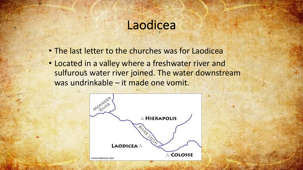- The last letter to the churches was for Laodicea
- Located in a valley where a freshwater river and sulfurous water river joined. The water downstream was undrinkable – it made one vomit.

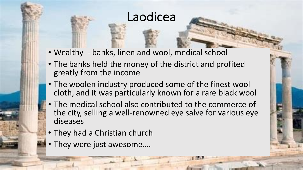- Wealthy banks, linen and wool, medical school
- The banks held the money of the district and profited greatly from the income
- The woolen industry produced some of the finest wool cloth, and it was particularly known for a rare black wool
- The medical school also contributed to the commerce of the city, selling a well-renowned eye salve for various eye diseases
- They had a Christian church
- They were just awesome….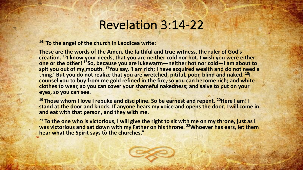# Revelation 3:14-22

**14"To the angel of the church in Laodicea write:**

**These are the words of the Amen, the faithful and true witness, the ruler of God's creation. 15I know your deeds, that you are neither cold nor hot. I wish you were either one or the other! 16So, because you are lukewarm—neither hot nor cold—I am about to spit you out of my mouth. 17You say, 'I am rich; I have acquired wealth and do not need a thing.' But you do not realize that you are wretched, pitiful, poor, blind and naked. 18I counsel you to buy from me gold refined in the fire, so you can become rich; and white clothes to wear, so you can cover your shameful nakedness; and salve to put on your eyes, so you can see.**

<sup>19</sup> Those whom I love I rebuke and discipline. So be earnest and repent. <sup>20</sup>Here I am! I **stand at the door and knock. If anyone hears my voice and opens the door, I will come in and eat with that person, and they with me.**

**<sup>21</sup> To the one who is victorious, I will give the right to sit with me on my throne, just as I was victorious and sat down with my Father on his throne. 22Whoever has ears, let them hear what the Spirit says to the churches."**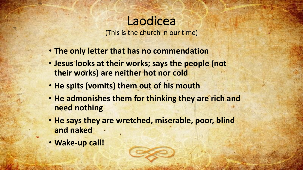(This is the church in our time)

- **The only letter that has no commendation**
- **Jesus looks at their works; says the people (not their works) are neither hot nor cold**
- **He spits (vomits) them out of his mouth**
- **He admonishes them for thinking they are rich and need nothing**
- **He says they are wretched, miserable, poor, blind and naked**
- **Wake-up call!**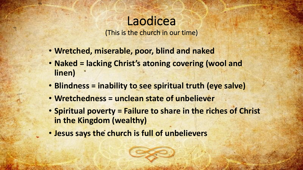(This is the church in our time)

- **Wretched, miserable, poor, blind and naked**
- **Naked = lacking Christ's atoning covering (wool and linen)**
- **Blindness = inability to see spiritual truth (eye salve)**
- **Wretchedness = unclean state of unbeliever**
- **Spiritual poverty = Failure to share in the riches of Christ in the Kingdom (wealthy)**
- **Jesus says the church is full of unbelievers**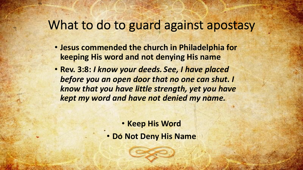### What to do to guard against apostasy

- **Jesus commended the church in Philadelphia for keeping His word and not denying His name**
- **Rev. 3:8:** *I know your deeds. See, I have placed before you an open door that no one can shut. I know that you have little strength, yet you have kept my word and have not denied my name.*

- **Keep His Word**
- **Do Not Deny His Name**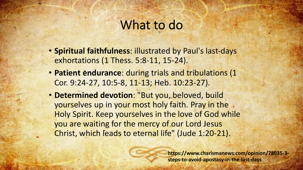#### What to do

- **Spiritual faithfulness**: illustrated by Paul's last-days exhortations (1 Thess. 5:8-11, 15-24).
- **Patient endurance**: during trials and tribulations (1 Cor. 9:24-27, 10:5-8, 11-13; Heb. 10:23-27).
- **Determined devotion**: "But you, beloved, build yourselves up in your most holy faith. Pray in the Holy Spirit. Keep yourselves in the love of God while you are waiting for the mercy of our Lord Jesus Christ, which leads to eternal life" (Jude 1:20-21).

**https://www.charismanews.com/opinion/78035-3 steps-to-avoid-apostasy-in-the-last-days**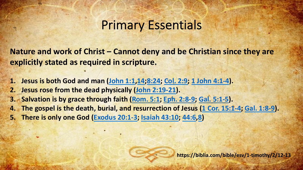### **Prim[ary Es](https://biblia.com/bible/esv/Rom.%205.1)[s](https://biblia.com/bible/esv/Gal.%205.1-5)entia**

https:/

**Nature and work of Christ – Cannot deny and be C explicitly stated as required in scripture.** 

1. Jesus is both God and man (John 1:1, 14; 8:24; Col. 2:9; 1

**2. Jesus rose from the dead physically (John 2:19-21).** 

**3. Salvation is by grace through faith (Rom. 5:1; Eph. 2:8-9)** 

**4. The gospel is the death, burial, and resurrection of Jesu** 

**5. There is only one God (Exodus 20:1-3; Isaiah 43:10; 44:6**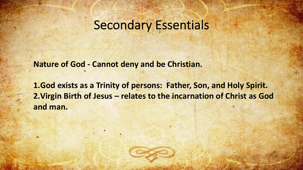### Secondary Essentials

**Nature of God - Cannot deny and be Christian.** 

**1.God exists as a Trinity of persons: Father, Son, and Holy Spirit. 2.Virgin Birth of Jesus – relates to the incarnation of Christ as God and man.**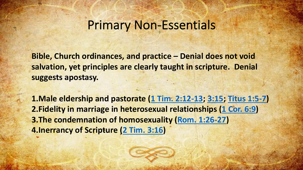# **Primary Non-Essen**

**Bible, Church ordinances[, and practi](https://biblia.com/bible/esv/2%20Tim.%203.16)ce - Der salvation, yet principles are clearly taught in suggests apostasy.** 

**1.Male eldership and pastorate (1 Tim. 2:12-2. Fidelity in marriage in heterosexual relations 3. The condemnation of homosexuality (Rom. 4.Inerrancy of Scripture (2 Tim. 3:16)**